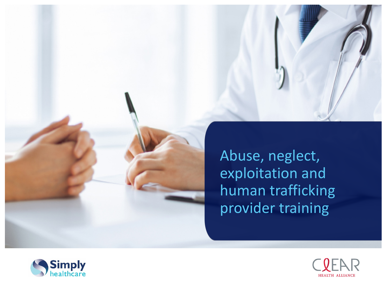

Abuse, neglect, exploitation and human trafficking provider training



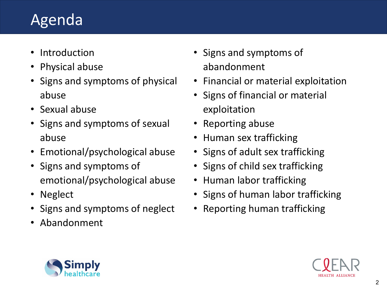## Agenda

- Introduction
- Physical abuse
- Signs and symptoms of physical abuse
- Sexual abuse
- Signs and symptoms of sexual abuse
- Emotional/psychological abuse
- Signs and symptoms of emotional/psychological abuse
- Neglect
- Signs and symptoms of neglect
- Abandonment
- Signs and symptoms of abandonment
- Financial or material exploitation
- Signs of financial or material exploitation
- Reporting abuse
- Human sex trafficking
- Signs of adult sex trafficking
- Signs of child sex trafficking
- Human labor trafficking
- Signs of human labor trafficking
- Reporting human trafficking



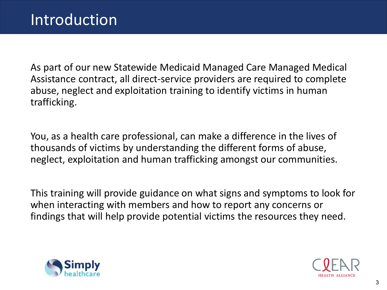As part of our new Statewide Medicaid Managed Care Managed Medical Assistance contract, all direct-service providers are required to complete abuse, neglect and exploitation training to identify victims in human trafficking.

You, as a health care professional, can make a difference in the lives of thousands of victims by understanding the different forms of abuse, neglect, exploitation and human trafficking amongst our communities.

This training will provide guidance on what signs and symptoms to look for when interacting with members and how to report any concerns or findings that will help provide potential victims the resources they need.



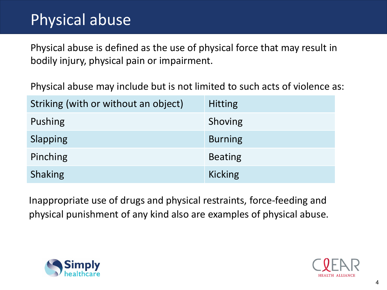## Physical abuse

Physical abuse is defined as the use of physical force that may result in bodily injury, physical pain or impairment.

Physical abuse may include but is not limited to such acts of violence as:

| Striking (with or without an object) | <b>Hitting</b> |
|--------------------------------------|----------------|
| Pushing                              | Shoving        |
| Slapping                             | <b>Burning</b> |
| Pinching                             | <b>Beating</b> |
| Shaking                              | <b>Kicking</b> |

Inappropriate use of drugs and physical restraints, force-feeding and physical punishment of any kind also are examples of physical abuse.



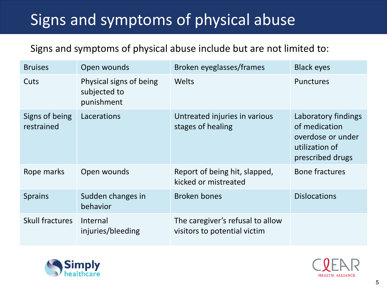# Signs and symptoms of physical abuse

Signs and symptoms of physical abuse include but are not limited to:

| <b>Bruises</b>               | Open wounds                                           | Broken eyeglasses/frames                                         | <b>Black eyes</b>                                                                               |
|------------------------------|-------------------------------------------------------|------------------------------------------------------------------|-------------------------------------------------------------------------------------------------|
| Cuts                         | Physical signs of being<br>subjected to<br>punishment | Welts                                                            | <b>Punctures</b>                                                                                |
| Signs of being<br>restrained | Lacerations                                           | Untreated injuries in various<br>stages of healing               | Laboratory findings<br>of medication<br>overdose or under<br>utilization of<br>prescribed drugs |
| Rope marks                   | Open wounds                                           | Report of being hit, slapped,<br>kicked or mistreated            | <b>Bone fractures</b>                                                                           |
| <b>Sprains</b>               | Sudden changes in<br>behavior                         | Broken bones                                                     | <b>Dislocations</b>                                                                             |
| <b>Skull fractures</b>       | Internal<br>injuries/bleeding                         | The caregiver's refusal to allow<br>visitors to potential victim |                                                                                                 |



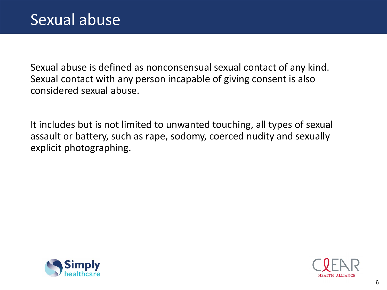Sexual abuse is defined as nonconsensual sexual contact of any kind. Sexual contact with any person incapable of giving consent is also considered sexual abuse.

It includes but is not limited to unwanted touching, all types of sexual assault or battery, such as rape, sodomy, coerced nudity and sexually explicit photographing.



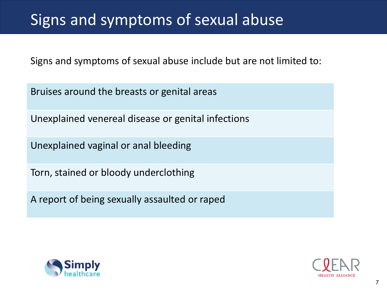## Signs and symptoms of sexual abuse

Signs and symptoms of sexual abuse include but are not limited to:

Bruises around the breasts or genital areas

Unexplained venereal disease or genital infections

Unexplained vaginal or anal bleeding

Torn, stained or bloody underclothing

A report of being sexually assaulted or raped



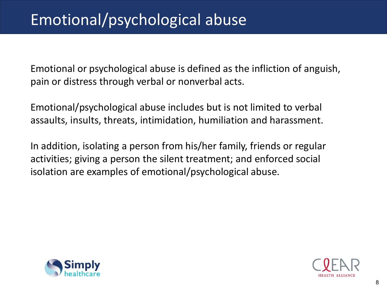## Emotional/psychological abuse

Emotional or psychological abuse is defined as the infliction of anguish, pain or distress through verbal or nonverbal acts.

Emotional/psychological abuse includes but is not limited to verbal assaults, insults, threats, intimidation, humiliation and harassment.

In addition, isolating a person from his/her family, friends or regular activities; giving a person the silent treatment; and enforced social isolation are examples of emotional/psychological abuse.



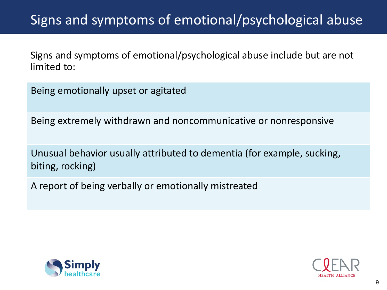### Signs and symptoms of emotional/psychological abuse

Signs and symptoms of emotional/psychological abuse include but are not limited to:

Being emotionally upset or agitated

Being extremely withdrawn and noncommunicative or nonresponsive

Unusual behavior usually attributed to dementia (for example, sucking, biting, rocking)

A report of being verbally or emotionally mistreated



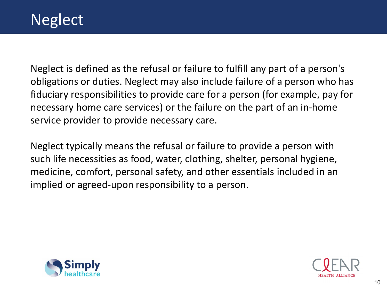Neglect is defined as the refusal or failure to fulfill any part of a person's obligations or duties. Neglect may also include failure of a person who has fiduciary responsibilities to provide care for a person (for example, pay for necessary home care services) or the failure on the part of an in-home service provider to provide necessary care.

Neglect typically means the refusal or failure to provide a person with such life necessities as food, water, clothing, shelter, personal hygiene, medicine, comfort, personal safety, and other essentials included in an implied or agreed-upon responsibility to a person.



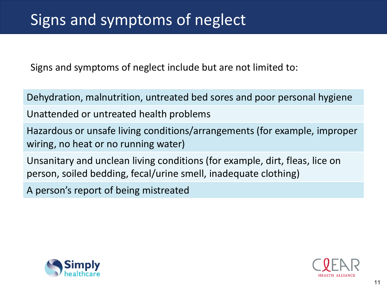## Signs and symptoms of neglect

Signs and symptoms of neglect include but are not limited to:

Dehydration, malnutrition, untreated bed sores and poor personal hygiene

Unattended or untreated health problems

Hazardous or unsafe living conditions/arrangements (for example, improper wiring, no heat or no running water)

Unsanitary and unclean living conditions (for example, dirt, fleas, lice on person, soiled bedding, fecal/urine smell, inadequate clothing)

A person's report of being mistreated



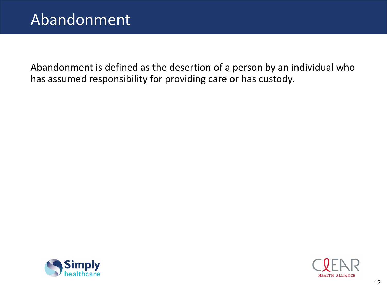Abandonment is defined as the desertion of a person by an individual who has assumed responsibility for providing care or has custody.



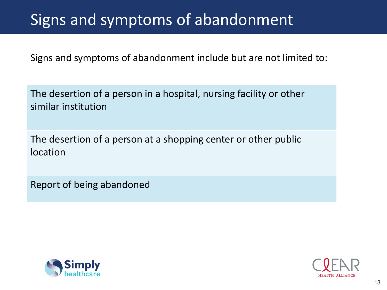## Signs and symptoms of abandonment

Signs and symptoms of abandonment include but are not limited to:

The desertion of a person in a hospital, nursing facility or other similar institution

The desertion of a person at a shopping center or other public location

Report of being abandoned



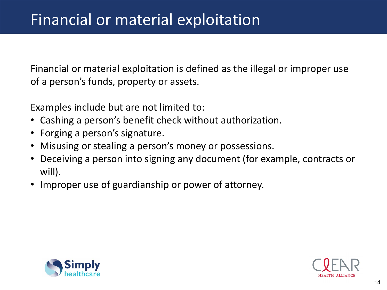Financial or material exploitation is defined as the illegal or improper use of a person's funds, property or assets.

Examples include but are not limited to:

- Cashing a person's benefit check without authorization.
- Forging a person's signature.
- Misusing or stealing a person's money or possessions.
- Deceiving a person into signing any document (for example, contracts or will).
- Improper use of guardianship or power of attorney.



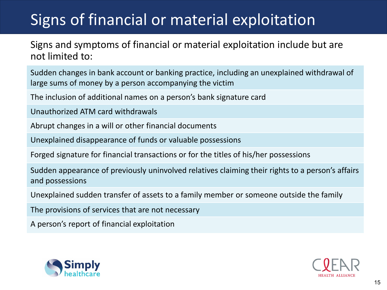# Signs of financial or material exploitation

Signs and symptoms of financial or material exploitation include but are not limited to:

Sudden changes in bank account or banking practice, including an unexplained withdrawal of large sums of money by a person accompanying the victim

The inclusion of additional names on a person's bank signature card

Unauthorized ATM card withdrawals

Abrupt changes in a will or other financial documents

Unexplained disappearance of funds or valuable possessions

Forged signature for financial transactions or for the titles of his/her possessions

Sudden appearance of previously uninvolved relatives claiming their rights to a person's affairs and possessions

Unexplained sudden transfer of assets to a family member or someone outside the family

The provisions of services that are not necessary

A person's report of financial exploitation



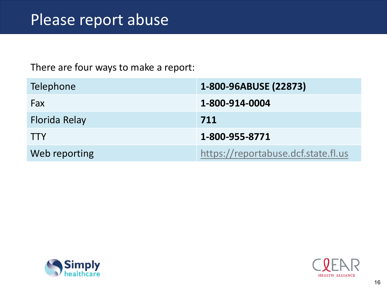#### There are four ways to make a report:

| Telephone     | 1-800-96ABUSE (22873)               |
|---------------|-------------------------------------|
| Fax           | 1-800-914-0004                      |
| Florida Relay | 711                                 |
| <b>TTY</b>    | 1-800-955-8771                      |
| Web reporting | https://reportabuse.dcf.state.fl.us |



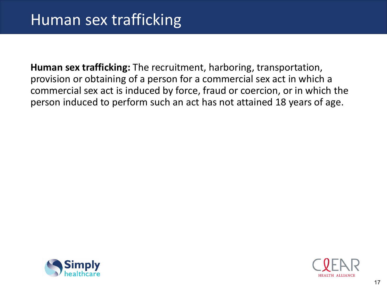**Human sex trafficking:** The recruitment, harboring, transportation, provision or obtaining of a person for a commercial sex act in which a commercial sex act is induced by force, fraud or coercion, or in which the person induced to perform such an act has not attained 18 years of age.



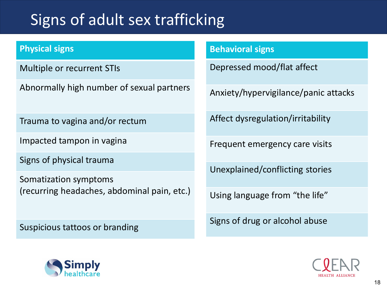## Signs of adult sex trafficking

#### **Physical signs**

Multiple or recurrent STIs

Abnormally high number of sexual partners

Trauma to vagina and/or rectum

Impacted tampon in vagina

Signs of physical trauma

Somatization symptoms (recurring headaches, abdominal pain, etc.)

Suspicious tattoos or branding

#### **Behavioral signs**

Depressed mood/flat affect

Anxiety/hypervigilance/panic attacks

Affect dysregulation/irritability

Frequent emergency care visits

Unexplained/conflicting stories

Using language from "the life"

Signs of drug or alcohol abuse



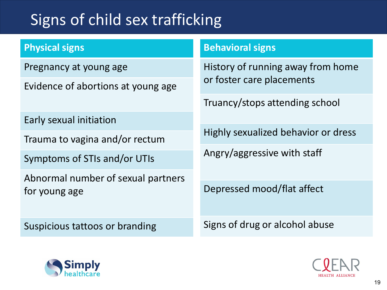# Signs of child sex trafficking

#### **Physical signs**

Pregnancy at young age

Evidence of abortions at young age

Early sexual initiation

Trauma to vagina and/or rectum

Symptoms of STIs and/or UTIs

Abnormal number of sexual partners for young age

Suspicious tattoos or branding

#### **Behavioral signs**

History of running away from home or foster care placements

Truancy/stops attending school

Highly sexualized behavior or dress

Angry/aggressive with staff

Depressed mood/flat affect

Signs of drug or alcohol abuse



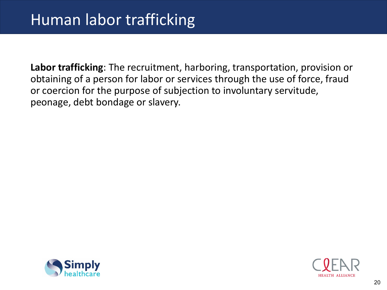**Labor trafficking**: The recruitment, harboring, transportation, provision or obtaining of a person for labor or services through the use of force, fraud or coercion for the purpose of subjection to involuntary servitude, peonage, debt bondage or slavery.



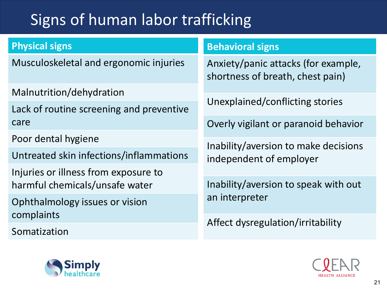# Signs of human labor trafficking

#### **Physical signs**

Musculoskeletal and ergonomic injuries

Malnutrition/dehydration

Lack of routine screening and preventive care

Poor dental hygiene

Untreated skin infections/inflammations

Injuries or illness from exposure to harmful chemicals/unsafe water

Ophthalmology issues or vision complaints

Somatization

#### **Behavioral signs**

Anxiety/panic attacks (for example, shortness of breath, chest pain)

Unexplained/conflicting stories

Overly vigilant or paranoid behavior

Inability/aversion to make decisions independent of employer

Inability/aversion to speak with out an interpreter

Affect dysregulation/irritability



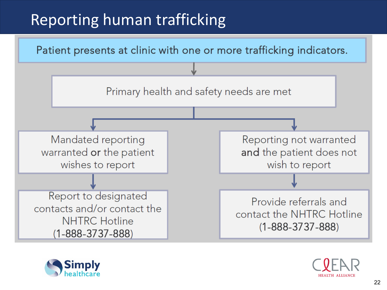# Reporting human trafficking





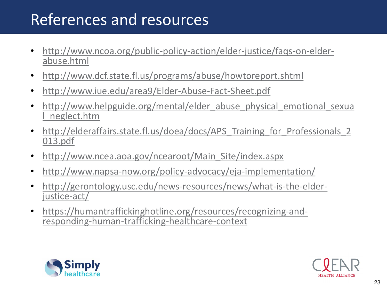## References and resources

- [http://www.ncoa.org/public-policy-action/elder-justice/faqs-on-elder-](http://www.ncoa.org/public-policy-action/elder-justice/faqs-on-elder-abuse.html) abuse.html
- <http://www.dcf.state.fl.us/programs/abuse/howtoreport.shtml>
- <http://www.iue.edu/area9/Elder-Abuse-Fact-Sheet.pdf>
- [http://www.helpguide.org/mental/elder\\_abuse\\_physical\\_emotional\\_sexua](http://www.helpguide.org/mental/elder_abuse_physical_emotional_sexual_neglect.htm) l\_neglect.htm
- http://elderaffairs.state.fl.us/doea/docs/APS Training for Professionals 2 013.pdf
- [http://www.ncea.aoa.gov/ncearoot/Main\\_Site/index.aspx](http://www.ncea.aoa.gov/ncearoot/Main_Site/index.aspx)
- <http://www.napsa-now.org/policy-advocacy/eja-implementation/>
- [http://gerontology.usc.edu/news-resources/news/what-is-the-elder-](http://gerontology.usc.edu/news-resources/news/what-is-the-elder-justice-act/) justice-act/
- [https://humantraffickinghotline.org/resources/recognizing-and-](https://humantraffickinghotline.org/resources/recognizing-and-responding-human-trafficking-healthcare-context) responding-human-trafficking-healthcare-context



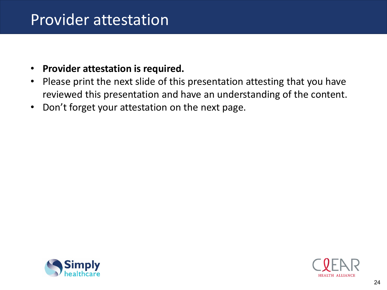### Provider attestation

#### • **Provider attestation is required.**

- Please print the next slide of this presentation attesting that you have reviewed this presentation and have an understanding of the content.
- Don't forget your attestation on the next page.



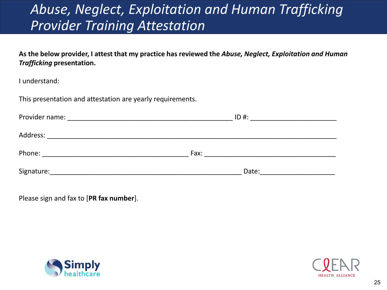### *Abuse, Neglect, Exploitation and Human Trafficking Provider Training Attestation*

**As the below provider, I attest that my practice has reviewed the** *Abuse, Neglect, Exploitation and Human Trafficking* **presentation.**

I understand:

This presentation and attestation are yearly requirements.

| Provider name: | $ID#$ : |  |
|----------------|---------|--|
|                |         |  |
| Address:       |         |  |
| Phone:         | Fax:    |  |
|                |         |  |
| Signature:     | Date:   |  |

Please sign and fax to [**PR fax number**].